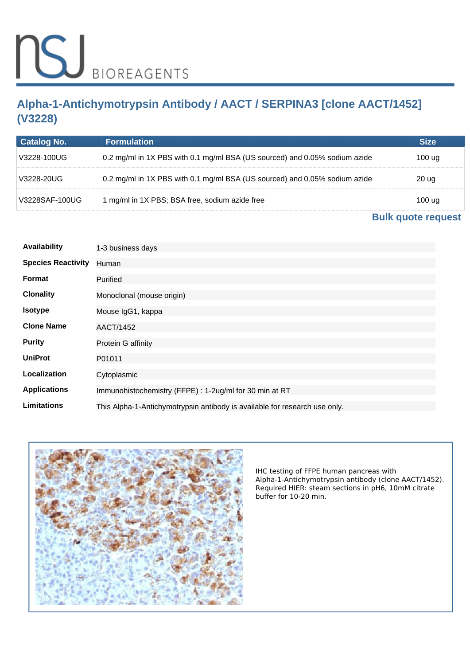# **Alpha-1-Antichymotrypsin Antibody / AACT / SERPINA3 [clone AACT/1452] (V3228)**

| Catalog No.    | <b>Formulation</b>                                                         |        |
|----------------|----------------------------------------------------------------------------|--------|
| V3228-100UG    | 0.2 mg/ml in 1X PBS with 0.1 mg/ml BSA (US sourced) and 0.05% sodium azide | 100 ua |
| V3228-20UG     | 0.2 mg/ml in 1X PBS with 0.1 mg/ml BSA (US sourced) and 0.05% sodium azide | 20 ug  |
| V3228SAF-100UG | 1 mg/ml in 1X PBS; BSA free, sodium azide free                             | 100 ua |

# **[Bulk quote request](https://www.nsjbio.com/bulk_quotereq.php?root_cat_no=V3228)**

| Availability              | 1-3 business days                                                          |
|---------------------------|----------------------------------------------------------------------------|
| <b>Species Reactivity</b> | Human                                                                      |
| <b>Format</b>             | Purified                                                                   |
| <b>Clonality</b>          | Monoclonal (mouse origin)                                                  |
| <b>Isotype</b>            | Mouse IgG1, kappa                                                          |
| <b>Clone Name</b>         | AACT/1452                                                                  |
| <b>Purity</b>             | Protein G affinity                                                         |
| <b>UniProt</b>            | P01011                                                                     |
| Localization              | Cytoplasmic                                                                |
| <b>Applications</b>       | Immunohistochemistry (FFPE) : 1-2ug/ml for 30 min at RT                    |
| Limitations               | This Alpha-1-Antichymotrypsin antibody is available for research use only. |



*IHC testing of FFPE human pancreas with Alpha-1-Antichymotrypsin antibody (clone AACT/1452). Required HIER: steam sections in pH6, 10mM citrate buffer for 10-20 min.*